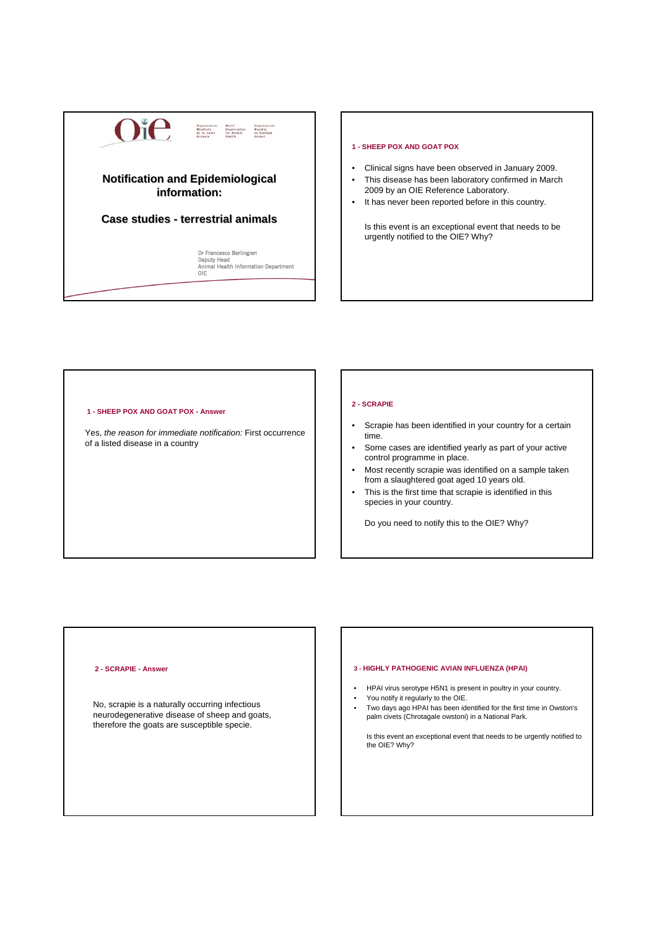

#### **1 - SHEEP POX AND GOAT POX**

- Clinical signs have been observed in January 2009.
- This disease has been laboratory confirmed in March 2009 by an OIE Reference Laboratory.
- It has never been reported before in this country.

Is this event is an exceptional event that needs to be urgently notified to the OIE? Why?

## **1 - SHEEP POX AND GOAT POX - Answer**

Yes, *the reason for immediate notification:* First occurrence of a listed disease in a country

## **2 - SCRAPIE**

- Scrapie has been identified in your country for a certain time.
- Some cases are identified yearly as part of your active control programme in place.
- Most recently scrapie was identified on a sample taken from a slaughtered goat aged 10 years old.
- This is the first time that scrapie is identified in this species in your country.

Do you need to notify this to the OIE? Why?

# **2 - SCRAPIE - Answer**

No, scrapie is a naturally occurring infectious neurodegenerative disease of sheep and goats, therefore the goats are susceptible specie.

# **3 - HIGHLY PATHOGENIC AVIAN INFLUENZA (HPAI)**

- HPAI virus serotype H5N1 is present in poultry in your country.
- You notify it regularly to the OIE.
- Two days ago HPAI has been identified for the first time in Owston's palm civets (Chrotagale owstoni) in a National Park.

Is this event an exceptional event that needs to be urgently notified to the OIE? Why?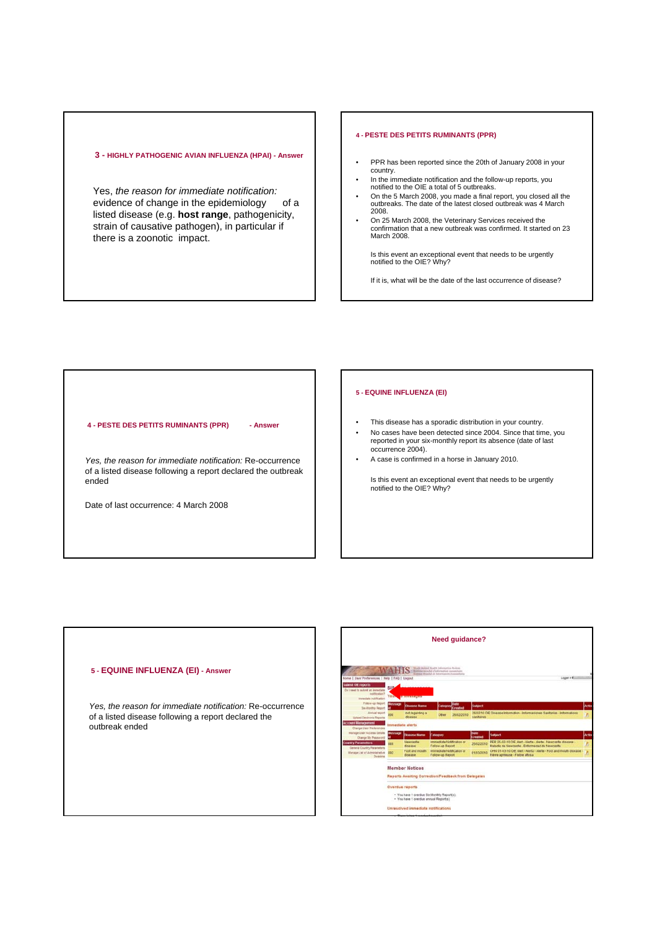# **3 - HIGHLY PATHOGENIC AVIAN INFLUENZA (HPAI) - Answer**

Yes, *the reason for immediate notification:* evidence of change in the epidemiology of a listed disease (e.g. **host range**, pathogenicity, strain of causative pathogen), in particular if there is a zoonotic impact.

#### **4 - PESTE DES PETITS RUMINANTS (PPR)**

- PPR has been reported since the 20th of January 2008 in your country.
- In the immediate notification and the follow-up reports, you notified to the OIE a total of 5 outbreaks.
- On the 5 March 2008, you made a final report, you closed all the outbreaks. The date of the latest closed outbreak was 4 March 2008.
- On 25 March 2008, the Veterinary Services received the confirmation that a new outbreak was confirmed. It started on 23 March 2008.

Is this event an exceptional event that needs to be urgently notified to the OIE? Why?

If it is, what will be the date of the last occurrence of disease?

## **4 - PESTE DES PETITS RUMINANTS (PPR) - Answer**

*Yes, the reason for immediate notification:* Re-occurrence of a listed disease following a report declared the outbreak ended

Date of last occurrence: 4 March 2008

# **5 - EQUINE INFLUENZA (EI)**

- This disease has a sporadic distribution in your country.
- No cases have been detected since 2004. Since that time, you reported in your six-monthly report its absence (date of last occurrence 2004).
- A case is confirmed in a horse in January 2010.

Is this event an exceptional event that needs to be urgently notified to the OIE? Why?

# **5 - EQUINE INFLUENZA (EI) - Answer** *Yes, the reason for immediate notification:* Re-occurrence of a listed disease following a report declared the outbreak ended